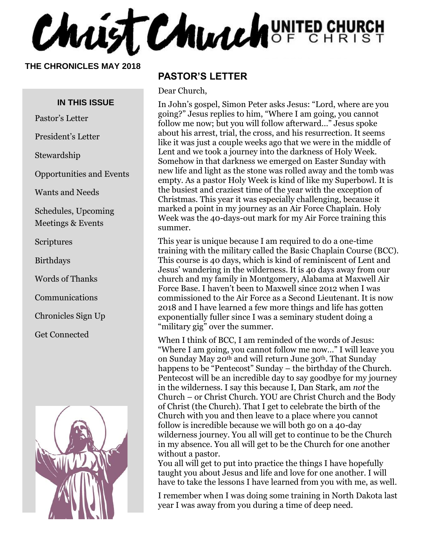Christ Church UNITED CHURCH

**THE CHRONICLES MAY 2018**

#### **IN THIS ISSUE**

Pastor's Letter

President's Letter

Stewardship

Opportunities and Events

Wants and Needs

Schedules, Upcoming Meetings & Events

Scriptures

Birthdays

Words of Thanks

Communications

Chronicles Sign Up

Get Connected



#### **PASTOR'S LETTER**

Dear Church,

In John's gospel, Simon Peter asks Jesus: "Lord, where are you going?" Jesus replies to him, "Where I am going, you cannot follow me now; but you will follow afterward…" Jesus spoke about his arrest, trial, the cross, and his resurrection. It seems like it was just a couple weeks ago that we were in the middle of Lent and we took a journey into the darkness of Holy Week. Somehow in that darkness we emerged on Easter Sunday with new life and light as the stone was rolled away and the tomb was empty. As a pastor Holy Week is kind of like my Superbowl. It is the busiest and craziest time of the year with the exception of Christmas. This year it was especially challenging, because it marked a point in my journey as an Air Force Chaplain. Holy Week was the 40-days-out mark for my Air Force training this summer.

This year is unique because I am required to do a one-time training with the military called the Basic Chaplain Course (BCC). This course is 40 days, which is kind of reminiscent of Lent and Jesus' wandering in the wilderness. It is 40 days away from our church and my family in Montgomery, Alabama at Maxwell Air Force Base. I haven't been to Maxwell since 2012 when I was commissioned to the Air Force as a Second Lieutenant. It is now 2018 and I have learned a few more things and life has gotten exponentially fuller since I was a seminary student doing a "military gig" over the summer.

When I think of BCC, I am reminded of the words of Jesus: "Where I am going, you cannot follow me now…" I will leave you on Sunday May 20th and will return June 30th. That Sunday happens to be "Pentecost" Sunday – the birthday of the Church. Pentecost will be an incredible day to say goodbye for my journey in the wilderness. I say this because I, Dan Stark, am *not* the Church – or Christ Church. YOU are Christ Church and the Body of Christ (the Church). That I get to celebrate the birth of the Church with you and then leave to a place where you cannot follow is incredible because we will both go on a 40-day wilderness journey. You all will get to continue to be the Church in my absence. You all will get to be the Church for one another without a pastor.

You all will get to put into practice the things I have hopefully taught you about Jesus and life and love for one another. I will have to take the lessons I have learned from you with me, as well.

I remember when I was doing some training in North Dakota last year I was away from you during a time of deep need.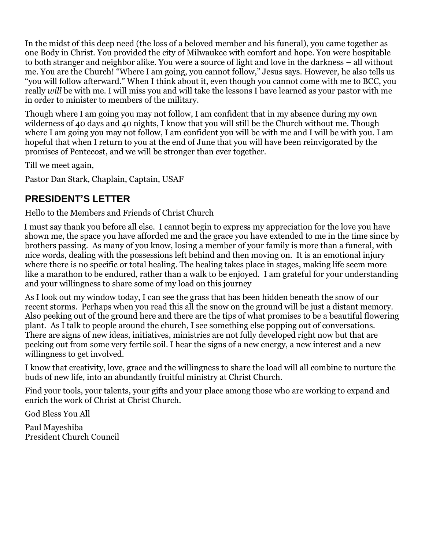In the midst of this deep need (the loss of a beloved member and his funeral), you came together as one Body in Christ. You provided the city of Milwaukee with comfort and hope. You were hospitable to both stranger and neighbor alike. You were a source of light and love in the darkness – all without me. You are the Church! "Where I am going, you cannot follow," Jesus says. However, he also tells us "you will follow afterward." When I think about it, even though you cannot come with me to BCC, you really *will* be with me. I will miss you and will take the lessons I have learned as your pastor with me in order to minister to members of the military.

Though where I am going you may not follow, I am confident that in my absence during my own wilderness of 40 days and 40 nights, I know that you will still be the Church without me. Though where I am going you may not follow, I am confident you will be with me and I will be with you. I am hopeful that when I return to you at the end of June that you will have been reinvigorated by the promises of Pentecost, and we will be stronger than ever together.

Till we meet again,

Pastor Dan Stark, Chaplain, Captain, USAF

#### **PRESIDENT'S LETTER**

Hello to the Members and Friends of Christ Church

 I must say thank you before all else. I cannot begin to express my appreciation for the love you have shown me, the space you have afforded me and the grace you have extended to me in the time since by brothers passing. As many of you know, losing a member of your family is more than a funeral, with nice words, dealing with the possessions left behind and then moving on. It is an emotional injury where there is no specific or total healing. The healing takes place in stages, making life seem more like a marathon to be endured, rather than a walk to be enjoyed. I am grateful for your understanding and your willingness to share some of my load on this journey

As I look out my window today, I can see the grass that has been hidden beneath the snow of our recent storms. Perhaps when you read this all the snow on the ground will be just a distant memory. Also peeking out of the ground here and there are the tips of what promises to be a beautiful flowering plant. As I talk to people around the church, I see something else popping out of conversations. There are signs of new ideas, initiatives, ministries are not fully developed right now but that are peeking out from some very fertile soil. I hear the signs of a new energy, a new interest and a new willingness to get involved.

I know that creativity, love, grace and the willingness to share the load will all combine to nurture the buds of new life, into an abundantly fruitful ministry at Christ Church.

Find your tools, your talents, your gifts and your place among those who are working to expand and enrich the work of Christ at Christ Church.

God Bless You All

Paul Mayeshiba President Church Council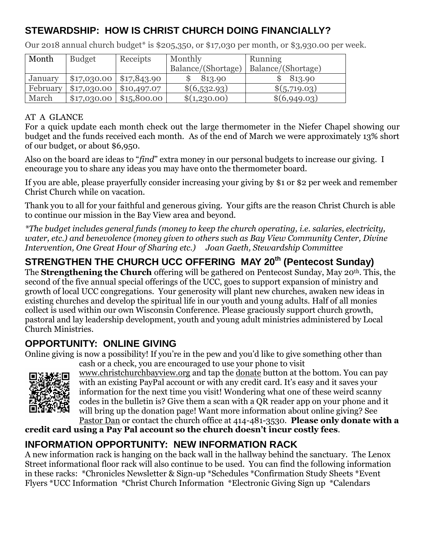#### **STEWARDSHIP: HOW IS CHRIST CHURCH DOING FINANCIALLY?**

| Month    | <b>Budget</b>                | Receipts    | Monthly            | Running            |
|----------|------------------------------|-------------|--------------------|--------------------|
|          |                              |             | Balance/(Shortage) | Balance/(Shortage) |
| January  | $$17,030.00 \mid $17,843.90$ |             | 813.90             | 813.90             |
| February | \$17,030.00                  | \$10,497.07 | \$(6,532.93)       | \$(5,719.03)       |
| March    | \$17,030.00                  | \$15,800.00 | \$(1,230.00)       | \$(6,949.03)       |

Our 2018 annual church budget\* is \$205,350, or \$17,030 per month, or \$3,930.00 per week.

#### AT A GLANCE

For a quick update each month check out the large thermometer in the Niefer Chapel showing our budget and the funds received each month. As of the end of March we were approximately 13% short of our budget, or about \$6,950.

Also on the board are ideas to "*find*" extra money in our personal budgets to increase our giving. I encourage you to share any ideas you may have onto the thermometer board.

If you are able, please prayerfully consider increasing your giving by \$1 or \$2 per week and remember Christ Church while on vacation.

Thank you to all for your faithful and generous giving. Your gifts are the reason Christ Church is able to continue our mission in the Bay View area and beyond.

*\*The budget includes general funds (money to keep the church operating, i.e. salaries, electricity, water, etc.) and benevolence (money given to others such as Bay View Community Center, Divine Intervention, One Great Hour of Sharing etc.) Joan Gaeth, Stewardship Committee*

# **STRENGTHEN THE CHURCH UCC OFFERING MAY 20th (Pentecost Sunday)**

The **Strengthening the Church** offering will be gathered on Pentecost Sunday, May 20th. This, the second of the five annual special offerings of the UCC, goes to support expansion of ministry and growth of local UCC congregations. Your generosity will plant new churches, awaken new ideas in existing churches and develop the spiritual life in our youth and young adults. Half of all monies collect is used within our own Wisconsin Conference. Please graciously support church growth, pastoral and lay leadership development, youth and young adult ministries administered by Local Church Ministries.

#### **OPPORTUNITY: ONLINE GIVING**

Online giving is now a possibility! If you're in the pew and you'd like to give something other than cash or a check, you are encouraged to use your phone to visit



[www.christchurchbayview.org](http://www.christchurchbayview.org/) and tap the [donate](https://www.paypal.com/cgi-bin/webscr?cmd=_s-xclick&hosted_button_id=D7W2VTZZBHZNU) button at the bottom. You can pay with an existing PayPal account or with any credit card. It's easy and it saves your information for the next time you visit! Wondering what one of these weird scanny codes in the bulletin is? Give them a scan with a QR reader app on your phone and it will bring up the donation page! Want more information about online giving? See [Pastor Dan](mailto:dan_stark@att.net) or contact the church office at 414-481-3530. **Please only donate with a** 

**credit card using a Pay Pal account so the church doesn't incur costly fees**.

#### **INFORMATION OPPORTUNITY: NEW INFORMATION RACK**

A new information rack is hanging on the back wall in the hallway behind the sanctuary. The Lenox Street informational floor rack will also continue to be used. You can find the following information in these racks: \*Chronicles Newsletter & Sign-up \*Schedules \*Confirmation Study Sheets \*Event Flyers \*UCC Information \*Christ Church Information \*Electronic Giving Sign up \*Calendars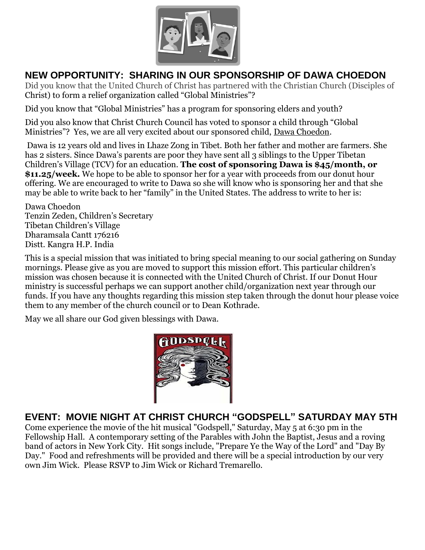

#### **NEW OPPORTUNITY: SHARING IN OUR SPONSORSHIP OF DAWA CHOEDON**

Did you know that the United Church of Christ has partnered with the Christian Church (Disciples of Christ) to form a relief organization called "Global Ministries"?

Did you know that "Global Ministries" has a program for sponsoring elders and youth?

Did you also know that Christ Church Council has voted to sponsor a child through "Global Ministries"? Yes, we are all very excited about our sponsored child, Dawa Choedon.

Dawa is 12 years old and lives in Lhaze Zong in Tibet. Both her father and mother are farmers. She has 2 sisters. Since Dawa's parents are poor they have sent all 3 siblings to the Upper Tibetan Children's Village (TCV) for an education. **The cost of sponsoring Dawa is \$45/month, or \$11.25/week.** We hope to be able to sponsor her for a year with proceeds from our donut hour offering. We are encouraged to write to Dawa so she will know who is sponsoring her and that she may be able to write back to her "family" in the United States. The address to write to her is:

Dawa Choedon Tenzin Zeden, Children's Secretary Tibetan Children's Village Dharamsala Cantt 176216 Distt. Kangra H.P. India

This is a special mission that was initiated to bring special meaning to our social gathering on Sunday mornings. Please give as you are moved to support this mission effort. This particular children's mission was chosen because it is connected with the United Church of Christ. If our Donut Hour ministry is successful perhaps we can support another child/organization next year through our funds. If you have any thoughts regarding this mission step taken through the donut hour please voice them to any member of the church council or to Dean Kothrade.

May we all share our God given blessings with Dawa.



#### **EVENT: MOVIE NIGHT AT CHRIST CHURCH "GODSPELL" SATURDAY MAY 5TH**

Come experience the movie of the hit musical "Godspell," Saturday, May 5 at 6:30 pm in the Fellowship Hall. A contemporary setting of the Parables with John the Baptist, Jesus and a roving band of actors in New York City. Hit songs include, "Prepare Ye the Way of the Lord" and "Day By Day." Food and refreshments will be provided and there will be a special introduction by our very own Jim Wick. Please RSVP to Jim Wick or Richard Tremarello.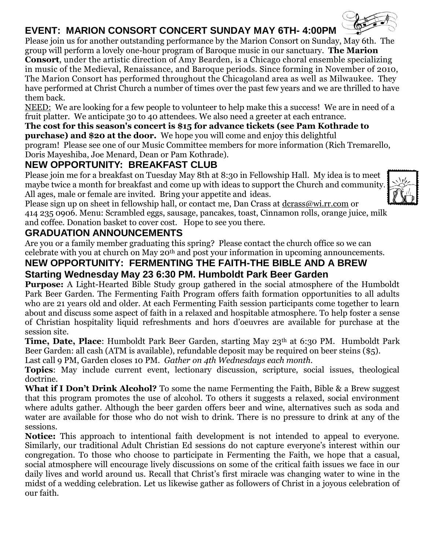## **EVENT: MARION CONSORT CONCERT SUNDAY MAY 6TH- 4:00PM**

Please join us for another outstanding performance by the Marion Consort on Sunday, May 6th. The group will perform a lovely one-hour program of Baroque music in our sanctuary. **The Marion Consort**, under the artistic direction of Amy Bearden, is a Chicago choral ensemble specializing in music of the Medieval, Renaissance, and Baroque periods. Since forming in November of 2010, The Marion Consort has performed throughout the Chicagoland area as well as Milwaukee. They have performed at Christ Church a number of times over the past few years and we are thrilled to have them back.

NEED: We are looking for a few people to volunteer to help make this a success! We are in need of a fruit platter. We anticipate 30 to 40 attendees. We also need a greeter at each entrance.

#### **The cost for this season's concert is \$15 for advance tickets (see Pam Kothrade to purchase) and \$20 at the door.** We hope you will come and enjoy this delightful

program! Please see one of our Music Committee members for more information (Rich Tremarello, Doris Mayeshiba, Joe Menard, Dean or Pam Kothrade).

## **NEW OPPORTUNITY: BREAKFAST CLUB**

Please join me for a breakfast on Tuesday May 8th at 8:30 in Fellowship Hall. My idea is to meet maybe twice a month for breakfast and come up with ideas to support the Church and community. All ages, male or female are invited. Bring your appetite and ideas.



Please sign up on sheet in fellowship hall, or contact me, Dan Crass at [dcrass@wi.rr.com](mailto:dcrass@wi.rr.com) or

414 235 0906. Menu: Scrambled eggs, sausage, pancakes, toast, Cinnamon rolls, orange juice, milk and coffee. Donation basket to cover cost. Hope to see you there.

#### **GRADUATION ANNOUNCEMENTS**

Are you or a family member graduating this spring? Please contact the church office so we can celebrate with you at church on May 20th and post your information in upcoming announcements.

#### **NEW OPPORTUNITY: FERMENTING THE FAITH-THE BIBLE AND A BREW Starting Wednesday May 23 6:30 PM. Humboldt Park Beer Garden**

**Purpose:** A Light-Hearted Bible Study group gathered in the social atmosphere of the Humboldt Park Beer Garden. The Fermenting Faith Program offers faith formation opportunities to all adults who are 21 years old and older. At each Fermenting Faith session participants come together to learn about and discuss some aspect of faith in a relaxed and hospitable atmosphere. To help foster a sense of Christian hospitality liquid refreshments and hors d'oeuvres are available for purchase at the session site.

**Time, Date, Place**: Humboldt Park Beer Garden, starting May 23<sup>th</sup> at 6:30 PM. Humboldt Park Beer Garden: all cash (ATM is available), refundable deposit may be required on beer steins (\$5).

Last call 9 PM, Garden closes 10 PM. *Gather on 4th Wednesdays each month.*

**Topics**: May include current event, lectionary discussion, scripture, social issues, theological doctrine.

**What if I Don't Drink Alcohol?** To some the name Fermenting the Faith, Bible & a Brew suggest that this program promotes the use of alcohol. To others it suggests a relaxed, social environment where adults gather. Although the beer garden offers beer and wine, alternatives such as soda and water are available for those who do not wish to drink. There is no pressure to drink at any of the sessions.

**Notice:** This approach to intentional faith development is not intended to appeal to everyone. Similarly, our traditional Adult Christian Ed sessions do not capture everyone's interest within our congregation. To those who choose to participate in Fermenting the Faith, we hope that a casual, social atmosphere will encourage lively discussions on some of the critical faith issues we face in our daily lives and world around us. Recall that Christ's first miracle was changing water to wine in the midst of a wedding celebration. Let us likewise gather as followers of Christ in a joyous celebration of our faith.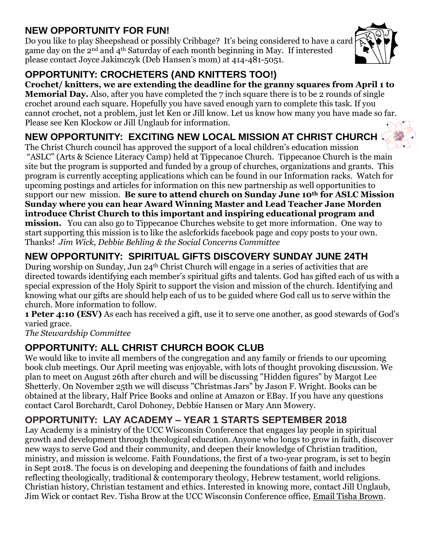#### **NEW OPPORTUNITY FOR FUN!**

Do you like to play Sheepshead or possibly Cribbage? It's being considered to have a card game day on the 2nd and 4th Saturday of each month beginning in May. If interested please contact Joyce Jakimczyk (Deb Hansen's mom) at 414-481-5051.



**Crochet/ knitters, we are extending the deadline for the granny squares from April 1 to Memorial Day.** Also, after you have completed the 7 inch square there is to be 2 rounds of single crochet around each square. Hopefully you have saved enough yarn to complete this task. If you cannot crochet, not a problem, just let Ken or Jill know. Let us know how many you have made so far. Please see Ken Klockow or Jill Unglaub for information.

## **NEW OPPORTUNITY: EXCITING NEW LOCAL MISSION AT CHRIST CHURCH**

The Christ Church council has approved the support of a local children's education mission "ASLC" (Arts & Science Literacy Camp) held at Tippecanoe Church. Tippecanoe Church is the main site but the program is supported and funded by a group of churches, organizations and grants. This program is currently accepting applications which can be found in our Information racks. Watch for upcoming postings and articles for information on this new partnership as well opportunities to support our new mission. **Be sure to attend church on Sunday June 10th for ASLC Mission Sunday where you can hear Award Winning Master and Lead Teacher Jane Morden introduce Christ Church to this important and inspiring educational program and mission.** You can also go to Tippecanoe Churches website to get more information. One way to start supporting this mission is to like the aslcforkids facebook page and copy posts to your own. Thanks! *Jim Wick, Debbie Behling & the Social Concerns Committee*

# **NEW OPPORTUNITY: SPIRITUAL GIFTS DISCOVERY SUNDAY JUNE 24TH**

During worship on Sunday, Jun 24th Christ Church will engage in a series of activities that are directed towards identifying each member's spiritual gifts and talents. God has gifted each of us with a special expression of the Holy Spirit to support the vision and mission of the church. Identifying and knowing what our gifts are should help each of us to be guided where God call us to serve within the church. More information to follow.

**1 Peter 4:10 (ESV)** As each has received a gift, use it to serve one another, as good stewards of God's varied grace.

*The Stewardship Committee*

# **OPPORTUNITY: ALL CHRIST CHURCH BOOK CLUB**

We would like to invite all members of the congregation and any family or friends to our upcoming book club meetings. Our April meeting was enjoyable, with lots of thought provoking discussion. We plan to meet on August 26th after church and will be discussing "Hidden figures" by Margot Lee Shetterly. On November 25th we will discuss "Christmas Jars" by Jason F. Wright. Books can be obtained at the library, Half Price Books and online at Amazon or EBay. If you have any questions contact Carol Borchardt, Carol Dohoney, Debbie Hansen or Mary Ann Mowery.

## **OPPORTUNITY: LAY ACADEMY – YEAR 1 STARTS SEPTEMBER 2018**

Lay Academy is a ministry of the UCC Wisconsin Conference that engages lay people in spiritual growth and development through theological education. Anyone who longs to grow in faith, discover new ways to serve God and their community, and deepen their knowledge of Christian tradition, ministry, and mission is welcome. Faith Foundations, the first of a two-year program, is set to begin in Sept 2018. The focus is on developing and deepening the foundations of faith and includes reflecting theologically, traditional & contemporary theology, Hebrew testament, world religions. Christian history, Christian testament and ethics. Interested in knowing more, contact Jill Unglaub, Jim Wick or contact Rev. Tisha Brow at the UCC Wisconsin Conference office, [Email Tisha Brown.](mailto:tbrown@wcucc.org)



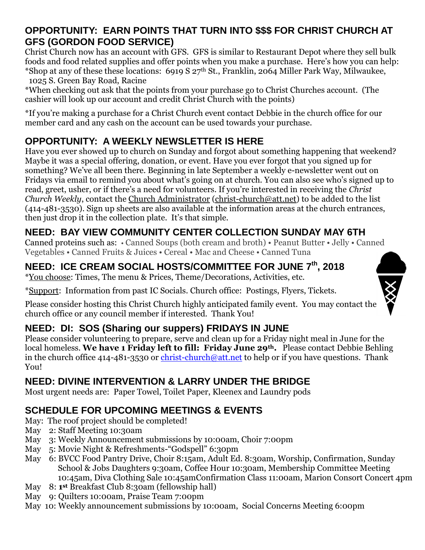#### **OPPORTUNITY: EARN POINTS THAT TURN INTO \$\$\$ FOR CHRIST CHURCH AT GFS (GORDON FOOD SERVICE)**

Christ Church now has an account with GFS. GFS is similar to Restaurant Depot where they sell bulk foods and food related supplies and offer points when you make a purchase. Here's how you can help: \*Shop at any of these these locations: 6919 S 27th St., Franklin, 2064 Miller Park Way, Milwaukee, 1025 S. Green Bay Road, Racine

\*When checking out ask that the points from your purchase go to Christ Churches account. (The cashier will look up our account and credit Christ Church with the points)

\*If you're making a purchase for a Christ Church event contact Debbie in the church office for our member card and any cash on the account can be used towards your purchase.

## **OPPORTUNITY: A WEEKLY NEWSLETTER IS HERE**

Have you ever showed up to church on Sunday and forgot about something happening that weekend? Maybe it was a special offering, donation, or event. Have you ever forgot that you signed up for something? We've all been there. Beginning in late September a weekly e-newsletter went out on Fridays via email to remind you about what's going on at church. You can also see who's signed up to read, greet, usher, or if there's a need for volunteers. If you're interested in receiving the *Christ Church Weekly*, contact the [Church Administrator](mailto:christ-church@att.net) [\(christ-church@att.net\)](mailto:christ-church@att.net) to be added to the list (414-481-3530). Sign up sheets are also available at the information areas at the church entrances, then just drop it in the collection plate. It's that simple.

## **NEED: BAY VIEW COMMUNITY CENTER COLLECTION SUNDAY MAY 6TH**

Canned proteins such as: • Canned Soups (both cream and broth) • Peanut Butter • Jelly • Canned Vegetables • Canned Fruits & Juices • Cereal • Mac and Cheese • Canned Tuna

## **NEED: ICE CREAM SOCIAL HOSTS/COMMITTEE FOR JUNE 7th, 2018**

\*You choose: Times, The menu & Prices, Theme/Decorations, Activities, etc.

\*Support: Information from past IC Socials. Church office: Postings, Flyers, Tickets.

Please consider hosting this Christ Church highly anticipated family event. You may contact the church office or any council member if interested. Thank You!

## **NEED: DI: SOS (Sharing our suppers) FRIDAYS IN JUNE**

Please consider volunteering to prepare, serve and clean up for a Friday night meal in June for the local homeless. **We have 1 Friday left to fill: Friday June 29th.** Please contact Debbie Behling in the church office 414-481-3530 or [christ-church@att.net](mailto:christ-church@att.net) to help or if you have questions. Thank You!

## **NEED: DIVINE INTERVENTION & LARRY UNDER THE BRIDGE**

Most urgent needs are: Paper Towel, Toilet Paper, Kleenex and Laundry pods

## **SCHEDULE FOR UPCOMING MEETINGS & EVENTS**

- May: The roof project should be completed!
- May 2: Staff Meeting 10:30am
- May 3: Weekly Announcement submissions by 10:00am, Choir 7:00pm
- May 5: Movie Night & Refreshments-"Godspell" 6:30pm
- May 6: BVCC Food Pantry Drive, Choir 8:15am, Adult Ed. 8:30am, Worship, Confirmation, Sunday School & Jobs Daughters 9:30am, Coffee Hour 10:30am, Membership Committee Meeting 10:45am, Diva Clothing Sale 10:45amConfirmation Class 11:00am, Marion Consort Concert 4pm
- $M$ ay **st** Breakfast Club 8:30am (fellowship hall)
- May 9: Quilters 10:00am, Praise Team 7:00pm
- May 10: Weekly announcement submissions by 10:00am, Social Concerns Meeting 6:00pm

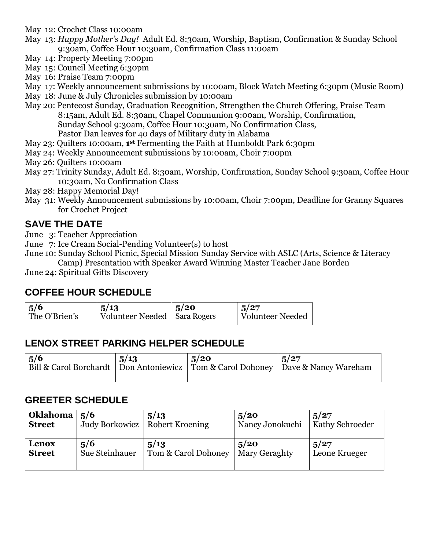May 12: Crochet Class 10:00am

- May 13: *Happy Mother's Day!* Adult Ed. 8:30am, Worship, Baptism, Confirmation & Sunday School 9:30am, Coffee Hour 10:30am, Confirmation Class 11:00am
- May 14: Property Meeting 7:00pm
- May 15: Council Meeting 6:30pm
- May 16: Praise Team 7:00pm
- May 17: Weekly announcement submissions by 10:00am, Block Watch Meeting 6:30pm (Music Room)
- May 18: June & July Chronicles submission by 10:00am
- May 20: Pentecost Sunday, Graduation Recognition, Strengthen the Church Offering, Praise Team 8:15am, Adult Ed. 8:30am, Chapel Communion 9:00am, Worship, Confirmation, Sunday School 9:30am, Coffee Hour 10:30am, No Confirmation Class, Pastor Dan leaves for 40 days of Military duty in Alabama
- May 23: Quilters 10:00am, **1 st** Fermenting the Faith at Humboldt Park 6:30pm
- May 24: Weekly Announcement submissions by 10:00am, Choir 7:00pm
- May 26: Quilters 10:00am
- May 27: Trinity Sunday, Adult Ed. 8:30am, Worship, Confirmation, Sunday School 9:30am, Coffee Hour 10:30am, No Confirmation Class
- May 28: Happy Memorial Day!
- May 31: Weekly Announcement submissions by 10:00am, Choir 7:00pm, Deadline for Granny Squares for Crochet Project

#### **SAVE THE DATE**

- June 3: Teacher Appreciation
- June 7: Ice Cream Social-Pending Volunteer(s) to host
- June 10: Sunday School Picnic, Special Mission Sunday Service with ASLC (Arts, Science & Literacy Camp) Presentation with Speaker Award Winning Master Teacher Jane Borden

June 24: Spiritual Gifts Discovery

#### **COFFEE HOUR SCHEDULE**

| $\frac{5}{6}$ | 5/13                           | 5/20 | 1.5/27           |
|---------------|--------------------------------|------|------------------|
| The O'Brien's | Volunteer Needed   Sara Rogers |      | Volunteer Needed |
|               |                                |      |                  |

#### **LENOX STREET PARKING HELPER SCHEDULE**

| 5/6 | 5/13 | 5/20 | 1.5/27<br>Bill & Carol Borchardt   Don Antoniewicz   Tom & Carol Dohoney   Dave & Nancy Wareham |
|-----|------|------|-------------------------------------------------------------------------------------------------|
|     |      |      |                                                                                                 |

#### **GREETER SCHEDULE**

| <b>Oklahoma</b> | 5/6            | 5/13                | 5/20            | 5/27            |
|-----------------|----------------|---------------------|-----------------|-----------------|
| <b>Street</b>   | Judy Borkowicz | Robert Kroening     | Nancy Jonokuchi | Kathy Schroeder |
| Lenox           | 5/6            | 5/13                | 5/20            | 5/27            |
| <b>Street</b>   | Sue Steinhauer | Tom & Carol Dohoney | Mary Geraghty   | Leone Krueger   |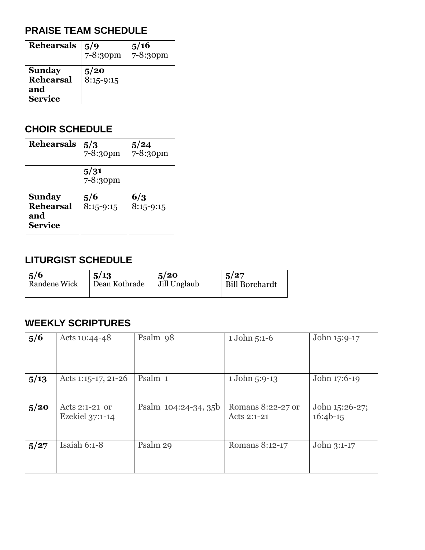#### **PRAISE TEAM SCHEDULE**

| <b>Rehearsals</b>                                          | 5/9<br>7-8:30pm     | 5/16<br>7-8:30pm |
|------------------------------------------------------------|---------------------|------------------|
| <b>Sunday</b><br><b>Rehearsal</b><br>and<br><b>Service</b> | 5/20<br>$8:15-9:15$ |                  |

#### **CHOIR SCHEDULE**

| <b>Rehearsals</b>                                          | 5/3<br>7-8:30pm    | 5/24<br>7-8:30pm   |
|------------------------------------------------------------|--------------------|--------------------|
|                                                            | 5/31<br>7-8:30pm   |                    |
| <b>Sunday</b><br><b>Rehearsal</b><br>and<br><b>Service</b> | 5/6<br>$8:15-9:15$ | 6/3<br>$8:15-9:15$ |

#### **LITURGIST SCHEDULE**

| $\frac{5}{6}$       | 5/13          | 5/20         | 5/27                  |
|---------------------|---------------|--------------|-----------------------|
| <b>Randene Wick</b> | Dean Kothrade | Jill Unglaub | <b>Bill Borchardt</b> |
|                     |               |              |                       |

#### **WEEKLY SCRIPTURES**

| 5/6  | Acts 10:44-48                     | Psalm 98             | 1 John 5:1-6                     | John 15:9-17                 |
|------|-----------------------------------|----------------------|----------------------------------|------------------------------|
| 5/13 | Acts 1:15-17, 21-26               | Psalm 1              | 1 John 5:9-13                    | John 17:6-19                 |
| 5/20 | Acts 2:1-21 or<br>Ezekiel 37:1-14 | Psalm 104:24-34, 35b | Romans 8:22-27 or<br>Acts 2:1-21 | John 15:26-27;<br>$16:4b-15$ |
| 5/27 | Isaiah 6:1-8                      | Psalm 29             | Romans 8:12-17                   | John 3:1-17                  |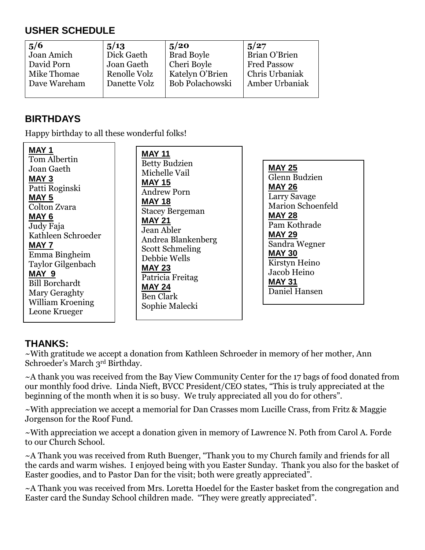## **USHER SCHEDULE**

| 5/6          | 5/13         | 5/20              | 5/27               |
|--------------|--------------|-------------------|--------------------|
| Joan Amich   | Dick Gaeth   | <b>Brad Boyle</b> | Brian O'Brien      |
| David Porn   | Joan Gaeth   | Cheri Boyle       | <b>Fred Passow</b> |
| Mike Thomae  | Renolle Volz | Katelyn O'Brien   | Chris Urbaniak     |
| Dave Wareham | Danette Volz | Bob Polachowski   | Amber Urbaniak     |
|              |              |                   |                    |

#### **BIRTHDAYS**

Happy birthday to all these wonderful folks!

**MAY 1** Tom Albertin Joan Gaeth **MAY 3** Patti Roginski **MAY 5** Colton Zvara **MAY 6** Judy Faja Kathleen Schroeder **MAY 7** Emma Bingheim Taylor Gilgenbach **MAY 9** Bill Borchardt Mary Geraghty William Kroening Leone Krueger

**MAY 11** Betty Budzien Michelle Vail **MAY 15** Andrew Porn **MAY 18** Stacey Bergeman **MAY 21** Jean Abler Andrea Blankenberg Scott Schmeling Debbie Wells **MAY 23** Patricia Freitag **MAY 24** Ben Clark Sophie Malecki

**MAY 25** Glenn Budzien **MAY 26** Larry Savage Marion Schoenfeld **MAY 28** Pam Kothrade **MAY 29** Sandra Wegner **MAY 30** Kirstyn Heino Jacob Heino **MAY 31** Daniel Hansen

#### **THANKS:**

~With gratitude we accept a donation from Kathleen Schroeder in memory of her mother, Ann Schroeder's March 3rd Birthday.

~A thank you was received from the Bay View Community Center for the 17 bags of food donated from our monthly food drive. Linda Nieft, BVCC President/CEO states, "This is truly appreciated at the beginning of the month when it is so busy. We truly appreciated all you do for others".

~With appreciation we accept a memorial for Dan Crasses mom Lucille Crass, from Fritz & Maggie Jorgenson for the Roof Fund.

~With appreciation we accept a donation given in memory of Lawrence N. Poth from Carol A. Forde to our Church School.

~A Thank you was received from Ruth Buenger, "Thank you to my Church family and friends for all the cards and warm wishes. I enjoyed being with you Easter Sunday. Thank you also for the basket of Easter goodies, and to Pastor Dan for the visit; both were greatly appreciated".

~A Thank you was received from Mrs. Loretta Hoedel for the Easter basket from the congregation and Easter card the Sunday School children made. "They were greatly appreciated".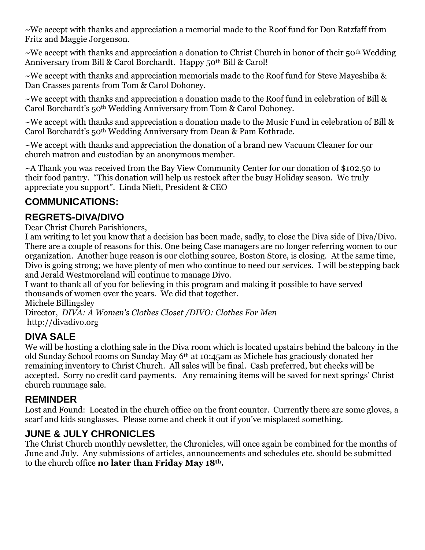~We accept with thanks and appreciation a memorial made to the Roof fund for Don Ratzfaff from Fritz and Maggie Jorgenson.

 $\sim$ We accept with thanks and appreciation a donation to Christ Church in honor of their 50<sup>th</sup> Wedding Anniversary from Bill & Carol Borchardt. Happy 50<sup>th</sup> Bill & Carol!

 $\sim$ We accept with thanks and appreciation memorials made to the Roof fund for Steve Mayeshiba & Dan Crasses parents from Tom & Carol Dohoney.

~We accept with thanks and appreciation a donation made to the Roof fund in celebration of Bill & Carol Borchardt's 50th Wedding Anniversary from Tom & Carol Dohoney.

 $\sim$ We accept with thanks and appreciation a donation made to the Music Fund in celebration of Bill & Carol Borchardt's 50th Wedding Anniversary from Dean & Pam Kothrade.

~We accept with thanks and appreciation the donation of a brand new Vacuum Cleaner for our church matron and custodian by an anonymous member.

~A Thank you was received from the Bay View Community Center for our donation of \$102.50 to their food pantry. "This donation will help us restock after the busy Holiday season. We truly appreciate you support". Linda Nieft, President & CEO

#### **COMMUNICATIONS:**

#### **REGRETS-DIVA/DIVO**

Dear Christ Church Parishioners,

I am writing to let you know that a decision has been made, sadly, to close the Diva side of Diva/Divo. There are a couple of reasons for this. One being Case managers are no longer referring women to our organization. Another huge reason is our clothing source, Boston Store, is closing. At the same time, Divo is going strong; we have plenty of men who continue to need our services. I will be stepping back and Jerald Westmoreland will continue to manage Divo.

I want to thank all of you for believing in this program and making it possible to have served thousands of women over the years. We did that together.

Michele Billingsley

Director, *DIVA: A Women's Clothes Closet /DIVO: Clothes For Men*  [http://divadivo.org](http://divadivo.org/)

#### **DIVA SALE**

We will be hosting a clothing sale in the Diva room which is located upstairs behind the balcony in the old Sunday School rooms on Sunday May 6th at 10:45am as Michele has graciously donated her remaining inventory to Christ Church. All sales will be final. Cash preferred, but checks will be accepted. Sorry no credit card payments. Any remaining items will be saved for next springs' Christ church rummage sale.

#### **REMINDER**

Lost and Found: Located in the church office on the front counter. Currently there are some gloves, a scarf and kids sunglasses. Please come and check it out if you've misplaced something.

#### **JUNE & JULY CHRONICLES**

The Christ Church monthly newsletter, the Chronicles, will once again be combined for the months of June and July. Any submissions of articles, announcements and schedules etc. should be submitted to the church office **no later than Friday May 18th.**